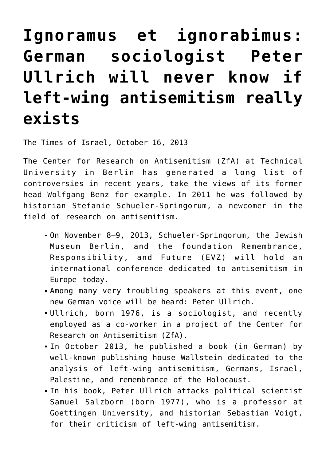## **[Ignoramus et ignorabimus:](https://www.clemensheni.net/ignoramus-et-ignorabimus-german-sociologist-peter-ullrich-will-never-know-if-left-wing-antisemitism-really-exists/) [German sociologist Peter](https://www.clemensheni.net/ignoramus-et-ignorabimus-german-sociologist-peter-ullrich-will-never-know-if-left-wing-antisemitism-really-exists/) [Ullrich will never know if](https://www.clemensheni.net/ignoramus-et-ignorabimus-german-sociologist-peter-ullrich-will-never-know-if-left-wing-antisemitism-really-exists/) [left-wing antisemitism really](https://www.clemensheni.net/ignoramus-et-ignorabimus-german-sociologist-peter-ullrich-will-never-know-if-left-wing-antisemitism-really-exists/) [exists](https://www.clemensheni.net/ignoramus-et-ignorabimus-german-sociologist-peter-ullrich-will-never-know-if-left-wing-antisemitism-really-exists/)**

[The Times of Israel,](http://blogs.timesofisrael.com/ignoramus-et-ignorabimus-german-sociologist-peter-ullrich-will-never-know-if-left-wing-antisemitism-really-exists/) October 16, 2013

The Center for Research on Antisemitism (ZfA) at Technical University in Berlin has generated a long list of controversies in recent years, take the views of its former head Wolfgang Benz for example. In 2011 he was followed by historian Stefanie Schueler-Springorum, a newcomer in the field of research on antisemitism.

- On November 8–9, 2013, Schueler-Springorum, the Jewish Museum Berlin, and the foundation Remembrance, Responsibility, and Future (EVZ) will hold an international conference dedicated to antisemitism in Europe today.
- Among many very troubling speakers at this event, one new German voice will be heard: Peter Ullrich.
- Ullrich, born 1976, is a sociologist, and recently employed as a co-worker in a project of the Center for Research on Antisemitism (ZfA).
- In October 2013, he published a book (in German) by well-known publishing house Wallstein dedicated to the analysis of left-wing antisemitism, Germans, Israel, Palestine, and remembrance of the Holocaust.
- In his book, Peter Ullrich attacks political scientist Samuel Salzborn (born 1977), who is a professor at Goettingen University, and historian Sebastian Voigt, for their criticism of left-wing antisemitism.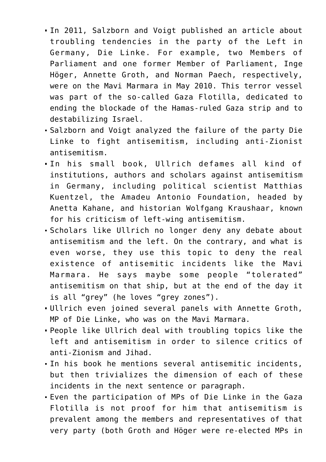- In 2011, Salzborn and Voigt published an article about troubling tendencies in the party of the Left in Germany, Die Linke. For example, two Members of Parliament and one former Member of Parliament, Inge Höger, Annette Groth, and Norman Paech, respectively, were on the Mavi Marmara in May 2010. This terror vessel was part of the so-called Gaza Flotilla, dedicated to ending the blockade of the Hamas-ruled Gaza strip and to destabilizing Israel.
- Salzborn and Voigt analyzed the failure of the party Die Linke to fight antisemitism, including anti-Zionist antisemitism.
- In his small book, Ullrich defames all kind of institutions, authors and scholars against antisemitism in Germany, including political scientist Matthias Kuentzel, the Amadeu Antonio Foundation, headed by Anetta Kahane, and historian Wolfgang Kraushaar, known for his criticism of left-wing antisemitism.
- Scholars like Ullrich no longer deny any debate about antisemitism and the left. On the contrary, and what is even worse, they use this topic to deny the real existence of antisemitic incidents like the Mavi Marmara. He says maybe some people "tolerated" antisemitism on that ship, but at the end of the day it is all "grey" (he loves "grey zones").
- Ullrich even joined several panels with Annette Groth, MP of Die Linke, who was on the Mavi Marmara.
- People like Ullrich deal with troubling topics like the left and antisemitism in order to silence critics of anti-Zionism and Jihad.
- In his book he mentions several antisemitic incidents, but then trivializes the dimension of each of these incidents in the next sentence or paragraph.
- Even the participation of MPs of Die Linke in the Gaza Flotilla is not proof for him that antisemitism is prevalent among the members and representatives of that very party (both Groth and Höger were re-elected MPs in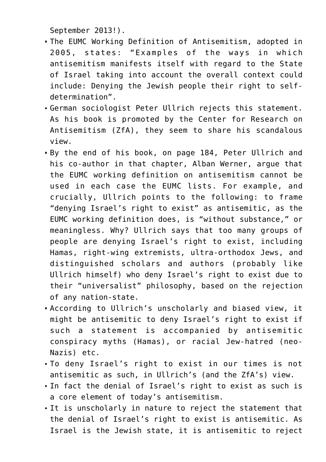September 2013!).

- The EUMC Working Definition of Antisemitism, adopted in 2005, states: "Examples of the ways in which antisemitism manifests itself with regard to the State of Israel taking into account the overall context could include: Denying the Jewish people their right to selfdetermination".
- German sociologist Peter Ullrich rejects this statement. As his book is promoted by the Center for Research on Antisemitism (ZfA), they seem to share his scandalous view.
- By the end of his book, on page 184, Peter Ullrich and his co-author in that chapter, Alban Werner, argue that the EUMC working definition on antisemitism cannot be used in each case the EUMC lists. For example, and crucially, Ullrich points to the following: to frame "denying Israel's right to exist" as antisemitic, as the EUMC working definition does, is "without substance," or meaningless. Why? Ullrich says that too many groups of people are denying Israel's right to exist, including Hamas, right-wing extremists, ultra-orthodox Jews, and distinguished scholars and authors (probably like Ullrich himself) who deny Israel's right to exist due to their "universalist" philosophy, based on the rejection of any nation-state.
- According to Ullrich's unscholarly and biased view, it might be antisemitic to deny Israel's right to exist if such a statement is accompanied by antisemitic conspiracy myths (Hamas), or racial Jew-hatred (neo-Nazis) etc.
- To deny Israel's right to exist in our times is not antisemitic as such, in Ullrich's (and the ZfA's) view.
- In fact the denial of Israel's right to exist as such is a core element of today's antisemitism.
- It is unscholarly in nature to reject the statement that the denial of Israel's right to exist is antisemitic. As Israel is the Jewish state, it is antisemitic to reject